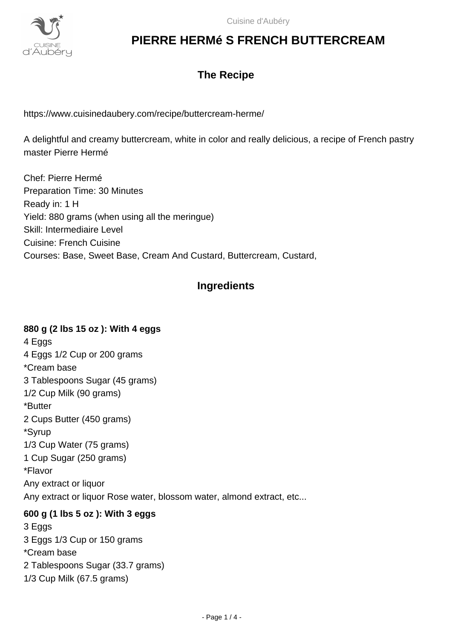

### **The Recipe**

https://www.cuisinedaubery.com/recipe/buttercream-herme/

A delightful and creamy buttercream, white in color and really delicious, a recipe of French pastry master Pierre Hermé

Chef: Pierre Hermé Preparation Time: 30 Minutes Ready in: 1 H Yield: 880 grams (when using all the meringue) Skill: Intermediaire Level Cuisine: French Cuisine Courses: Base, Sweet Base, Cream And Custard, Buttercream, Custard,

### **Ingredients**

# **880 g (2 lbs 15 oz ): With 4 eggs**

4 Eggs 4 Eggs 1/2 Cup or 200 grams \*Cream base 3 Tablespoons Sugar (45 grams) 1/2 Cup Milk (90 grams) \*Butter 2 Cups Butter (450 grams) \*Syrup 1/3 Cup Water (75 grams) 1 Cup Sugar (250 grams) \*Flavor Any extract or liquor Any extract or liquor Rose water, blossom water, almond extract, etc...

#### **600 g (1 lbs 5 oz ): With 3 eggs**

3 Eggs 3 Eggs 1/3 Cup or 150 grams \*Cream base 2 Tablespoons Sugar (33.7 grams) 1/3 Cup Milk (67.5 grams)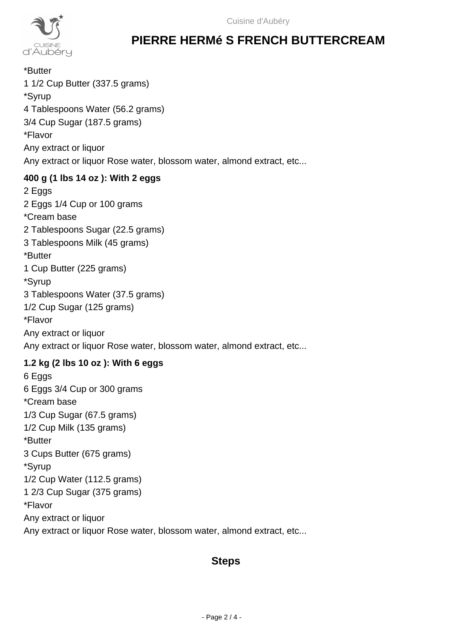

\*Butter 1 1/2 Cup Butter (337.5 grams) \*Syrup 4 Tablespoons Water (56.2 grams) 3/4 Cup Sugar (187.5 grams) \*Flavor Any extract or liquor Any extract or liquor Rose water, blossom water, almond extract, etc...

#### **400 g (1 lbs 14 oz ): With 2 eggs**

2 Eggs 2 Eggs 1/4 Cup or 100 grams \*Cream base 2 Tablespoons Sugar (22.5 grams) 3 Tablespoons Milk (45 grams) \*Butter 1 Cup Butter (225 grams) \*Syrup 3 Tablespoons Water (37.5 grams) 1/2 Cup Sugar (125 grams) \*Flavor Any extract or liquor Any extract or liquor Rose water, blossom water, almond extract, etc...

#### **1.2 kg (2 lbs 10 oz ): With 6 eggs**

6 Eggs 6 Eggs 3/4 Cup or 300 grams \*Cream base 1/3 Cup Sugar (67.5 grams) 1/2 Cup Milk (135 grams) \*Butter 3 Cups Butter (675 grams) \*Syrup 1/2 Cup Water (112.5 grams) 1 2/3 Cup Sugar (375 grams) \*Flavor Any extract or liquor Any extract or liquor Rose water, blossom water, almond extract, etc...

### **Steps**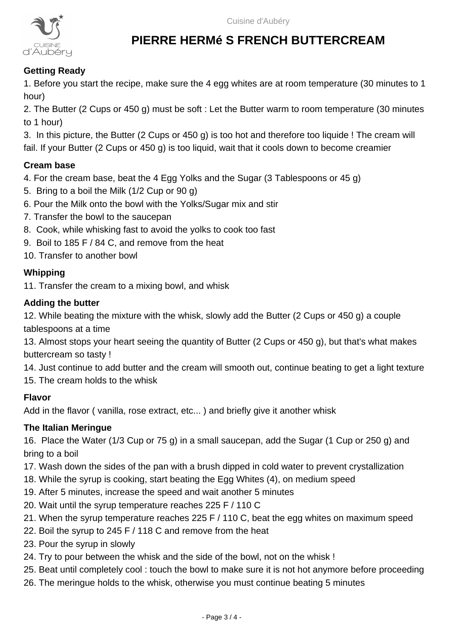

#### **Getting Ready**

1. Before you start the recipe, make sure the 4 egg whites are at room temperature (30 minutes to 1 hour)

2. The Butter (2 Cups or 450 g) must be soft : Let the Butter warm to room temperature (30 minutes to 1 hour)

3. In this picture, the Butter (2 Cups or 450 g) is too hot and therefore too liquide ! The cream will fail. If your Butter (2 Cups or 450 g) is too liquid, wait that it cools down to become creamier

#### **Cream base**

4. For the cream base, beat the 4 Egg Yolks and the Sugar (3 Tablespoons or 45 g)

- 5. Bring to a boil the Milk (1/2 Cup or 90 g)
- 6. Pour the Milk onto the bowl with the Yolks/Sugar mix and stir
- 7. Transfer the bowl to the saucepan
- 8. Cook, while whisking fast to avoid the yolks to cook too fast
- 9. Boil to 185 F / 84 C, and remove from the heat
- 10. Transfer to another bowl

#### **Whipping**

11. Transfer the cream to a mixing bowl, and whisk

#### **Adding the butter**

12. While beating the mixture with the whisk, slowly add the Butter (2 Cups or 450 g) a couple tablespoons at a time

13. Almost stops your heart seeing the quantity of Butter (2 Cups or 450 g), but that's what makes buttercream so tasty !

14. Just continue to add butter and the cream will smooth out, continue beating to get a light texture

15. The cream holds to the whisk

#### **Flavor**

Add in the flavor ( vanilla, rose extract, etc... ) and briefly give it another whisk

#### **The Italian Meringue**

16. Place the Water (1/3 Cup or 75 g) in a small saucepan, add the Sugar (1 Cup or 250 g) and bring to a boil

- 17. Wash down the sides of the pan with a brush dipped in cold water to prevent crystallization
- 18. While the syrup is cooking, start beating the Egg Whites (4), on medium speed
- 19. After 5 minutes, increase the speed and wait another 5 minutes
- 20. Wait until the syrup temperature reaches 225 F / 110 C
- 21. When the syrup temperature reaches 225 F / 110 C, beat the egg whites on maximum speed
- 22. Boil the syrup to 245 F / 118 C and remove from the heat
- 23. Pour the syrup in slowly
- 24. Try to pour between the whisk and the side of the bowl, not on the whisk !
- 25. Beat until completely cool : touch the bowl to make sure it is not hot anymore before proceeding
- 26. The meringue holds to the whisk, otherwise you must continue beating 5 minutes